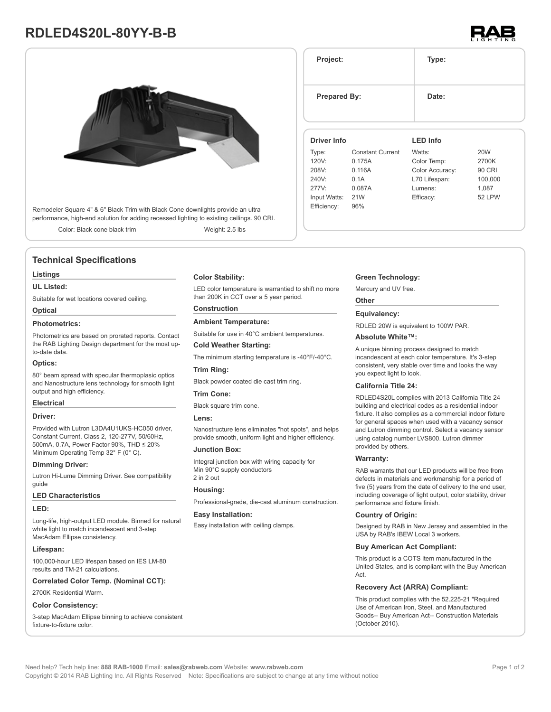# **RDLED4S20L-80YY-B-B**



Remodeler Square 4" & 6" Black Trim with Black Cone downlights provide an ultra performance, high-end solution for adding recessed lighting to existing ceilings. 90 CRI.

Color: Black cone black trim Weight: 2.5 lbs

# **Technical Specifications**

#### **Listings**

#### **UL Listed:**

Suitable for wet locations covered ceiling.

# **Optical**

# **Photometrics:**

Photometrics are based on prorated reports. Contact the RAB Lighting Design department for the most upto-date data.

#### **Optics:**

80° beam spread with specular thermoplasic optics and Nanostructure lens technology for smooth light output and high efficiency.

#### **Electrical**

# **Driver:**

Provided with Lutron L3DA4U1UKS-HC050 driver, Constant Current, Class 2, 120-277V, 50/60Hz, 500mA, 0.7A, Power Factor 90%, THD ≤ 20% Minimum Operating Temp 32° F (0° C).

#### **Dimming Driver:**

Lutron Hi-Lume Dimming Driver. See compatibility guide

#### **LED Characteristics**

#### **LED:**

Long-life, high-output LED module. Binned for natural white light to match incandescent and 3-step MacAdam Ellipse consistency.

#### **Lifespan:**

100,000-hour LED lifespan based on IES LM-80 results and TM-21 calculations.

**Correlated Color Temp. (Nominal CCT):**

# 2700K Residential Warm.

# **Color Consistency:**

3-step MacAdam Ellipse binning to achieve consistent fixture-to-fixture color.

### **Color Stability:**

LED color temperature is warrantied to shift no more than 200K in CCT over a 5 year period.

# **Construction**

**Ambient Temperature:**

Suitable for use in 40°C ambient temperatures.

### **Cold Weather Starting:**

The minimum starting temperature is -40°F/-40°C.

## **Trim Ring:**

Black powder coated die cast trim ring.

### **Trim Cone:**

Black square trim cone.

#### **Lens:**

Nanostructure lens eliminates "hot spots", and helps provide smooth, uniform light and higher efficiency.

#### **Junction Box:**

Integral junction box with wiring capacity for Min 90°C supply conductors 2 in 2 out

#### **Housing:**

Professional-grade, die-cast aluminum construction.

#### **Easy Installation:**

Easy installation with ceiling clamps.

#### **Green Technology:**

Mercury and UV free.

#### **Other**

#### **Equivalency:**

RDLED 20W is equivalent to 100W PAR.

#### **Absolute White™:**

A unique binning process designed to match incandescent at each color temperature. It's 3-step consistent, very stable over time and looks the way you expect light to look.

### **California Title 24:**

RDLED4S20L complies with 2013 California Title 24 building and electrical codes as a residential indoor fixture. It also complies as a commercial indoor fixture for general spaces when used with a vacancy sensor and Lutron dimming control. Select a vacancy sensor using catalog number LVS800. Lutron dimmer provided by others.

#### **Warranty:**

RAB warrants that our LED products will be free from defects in materials and workmanship for a period of five (5) years from the date of delivery to the end user, including coverage of light output, color stability, driver performance and fixture finish.

#### **Country of Origin:**

Designed by RAB in New Jersey and assembled in the USA by RAB's IBEW Local 3 workers.

#### **Buy American Act Compliant:**

This product is a COTS item manufactured in the United States, and is compliant with the Buy American Act.

#### **Recovery Act (ARRA) Compliant:**

This product complies with the 52.225-21 "Required Use of American Iron, Steel, and Manufactured Goods-- Buy American Act-- Construction Materials (October 2010).

| Project:            |                         | Type:           |            |  |  |
|---------------------|-------------------------|-----------------|------------|--|--|
| <b>Prepared By:</b> |                         | Date:           |            |  |  |
| Driver Info         |                         | <b>LED Info</b> |            |  |  |
| Type:               | <b>Constant Current</b> | Watts:          | <b>20W</b> |  |  |
| 120V:               | 0.175A                  | Color Temp:     | 2700K      |  |  |
| 208V:               | 0.116A                  | Color Accuracy: | 90 CRI     |  |  |
| 240V:               | 0.1A                    | L70 Lifespan:   | 100,000    |  |  |
| 277V:               | 0.087A                  | Lumens:         | 1,087      |  |  |
| Input Watts:        | 21W                     | Efficacy:       | 52 LPW     |  |  |
|                     | 96%                     |                 |            |  |  |